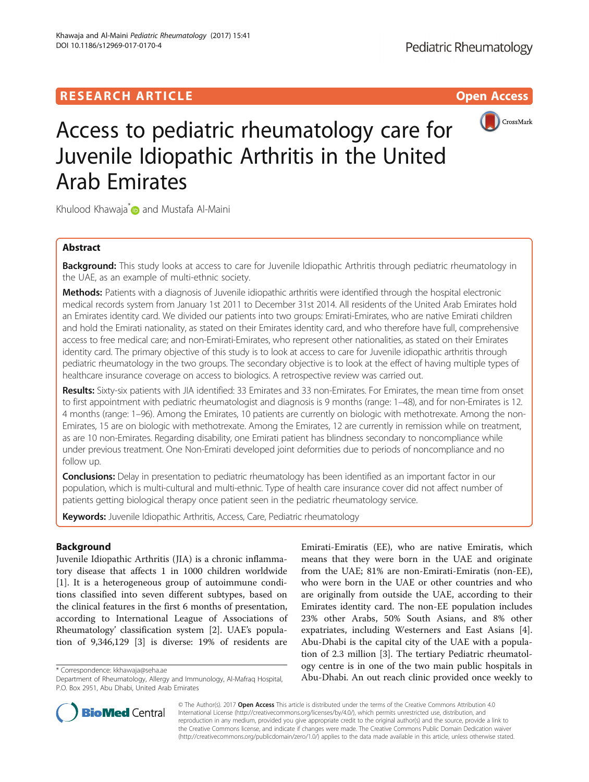# **RESEARCH ARTICLE Example 2018 12:00 Department of the Contract Open Access**



# Access to pediatric rheumatology care for Juvenile Idiopathic Arthritis in the United Arab Emirates

Khulood Khawaja D and Mustafa Al-Maini

# Abstract

Background: This study looks at access to care for Juvenile Idiopathic Arthritis through pediatric rheumatology in the UAE, as an example of multi-ethnic society.

Methods: Patients with a diagnosis of Juvenile idiopathic arthritis were identified through the hospital electronic medical records system from January 1st 2011 to December 31st 2014. All residents of the United Arab Emirates hold an Emirates identity card. We divided our patients into two groups: Emirati-Emirates, who are native Emirati children and hold the Emirati nationality, as stated on their Emirates identity card, and who therefore have full, comprehensive access to free medical care; and non-Emirati-Emirates, who represent other nationalities, as stated on their Emirates identity card. The primary objective of this study is to look at access to care for Juvenile idiopathic arthritis through pediatric rheumatology in the two groups. The secondary objective is to look at the effect of having multiple types of healthcare insurance coverage on access to biologics. A retrospective review was carried out.

Results: Sixty-six patients with JIA identified: 33 Emirates and 33 non-Emirates. For Emirates, the mean time from onset to first appointment with pediatric rheumatologist and diagnosis is 9 months (range: 1–48), and for non-Emirates is 12. 4 months (range: 1–96). Among the Emirates, 10 patients are currently on biologic with methotrexate. Among the non-Emirates, 15 are on biologic with methotrexate. Among the Emirates, 12 are currently in remission while on treatment, as are 10 non-Emirates. Regarding disability, one Emirati patient has blindness secondary to noncompliance while under previous treatment. One Non-Emirati developed joint deformities due to periods of noncompliance and no follow up.

**Conclusions:** Delay in presentation to pediatric rheumatology has been identified as an important factor in our population, which is multi-cultural and multi-ethnic. Type of health care insurance cover did not affect number of patients getting biological therapy once patient seen in the pediatric rheumatology service.

Keywords: Juvenile Idiopathic Arthritis, Access, Care, Pediatric rheumatology

### Background

Juvenile Idiopathic Arthritis (JIA) is a chronic inflammatory disease that affects 1 in 1000 children worldwide [[1\]](#page-4-0). It is a heterogeneous group of autoimmune conditions classified into seven different subtypes, based on the clinical features in the first 6 months of presentation, according to International League of Associations of Rheumatology' classification system [[2](#page-4-0)]. UAE's population of 9,346,129 [\[3](#page-4-0)] is diverse: 19% of residents are

Emirati-Emiratis (EE), who are native Emiratis, which means that they were born in the UAE and originate from the UAE; 81% are non-Emirati-Emiratis (non-EE), who were born in the UAE or other countries and who are originally from outside the UAE, according to their Emirates identity card. The non-EE population includes 23% other Arabs, 50% South Asians, and 8% other expatriates, including Westerners and East Asians [\[4](#page-4-0)]. Abu-Dhabi is the capital city of the UAE with a population of 2.3 million [\[3\]](#page-4-0). The tertiary Pediatric rheumatology centre is in one of the two main public hospitals in A Correspondence: [kkhawaja@seha.ae](mailto:kkhawaja@seha.ae)<br>Department of Rheumatology, Allergy and Immunology, Al-Mafrag Hospital, **Abu-Dhabi. An out reach clinic provided once weekly to** 



© The Author(s). 2017 **Open Access** This article is distributed under the terms of the Creative Commons Attribution 4.0 International License [\(http://creativecommons.org/licenses/by/4.0/](http://creativecommons.org/licenses/by/4.0/)), which permits unrestricted use, distribution, and reproduction in any medium, provided you give appropriate credit to the original author(s) and the source, provide a link to the Creative Commons license, and indicate if changes were made. The Creative Commons Public Domain Dedication waiver [\(http://creativecommons.org/publicdomain/zero/1.0/](http://creativecommons.org/publicdomain/zero/1.0/)) applies to the data made available in this article, unless otherwise stated.

Department of Rheumatology, Allergy and Immunology, Al-Mafraq Hospital, P.O. Box 2951, Abu Dhabi, United Arab Emirates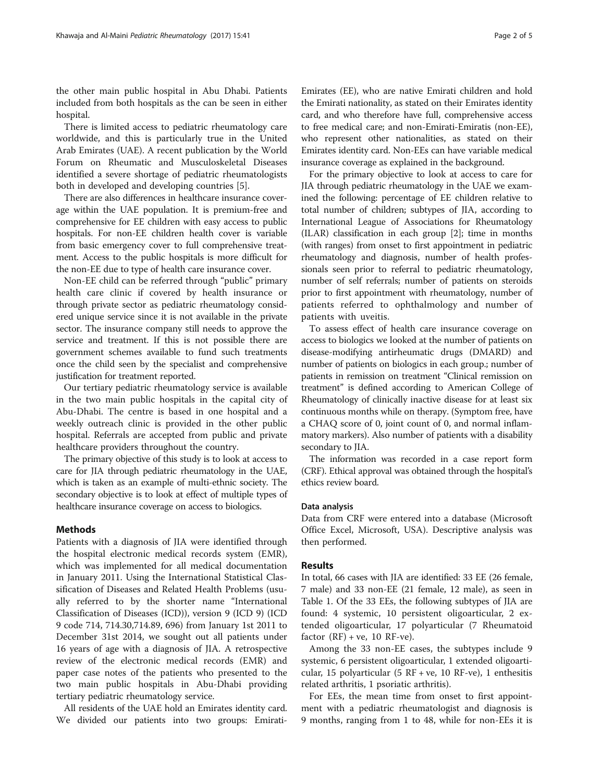the other main public hospital in Abu Dhabi. Patients included from both hospitals as the can be seen in either hospital.

There is limited access to pediatric rheumatology care worldwide, and this is particularly true in the United Arab Emirates (UAE). A recent publication by the World Forum on Rheumatic and Musculoskeletal Diseases identified a severe shortage of pediatric rheumatologists both in developed and developing countries [\[5](#page-4-0)].

There are also differences in healthcare insurance coverage within the UAE population. It is premium-free and comprehensive for EE children with easy access to public hospitals. For non-EE children health cover is variable from basic emergency cover to full comprehensive treatment. Access to the public hospitals is more difficult for the non-EE due to type of health care insurance cover.

Non-EE child can be referred through "public" primary health care clinic if covered by health insurance or through private sector as pediatric rheumatology considered unique service since it is not available in the private sector. The insurance company still needs to approve the service and treatment. If this is not possible there are government schemes available to fund such treatments once the child seen by the specialist and comprehensive justification for treatment reported.

Our tertiary pediatric rheumatology service is available in the two main public hospitals in the capital city of Abu-Dhabi. The centre is based in one hospital and a weekly outreach clinic is provided in the other public hospital. Referrals are accepted from public and private healthcare providers throughout the country.

The primary objective of this study is to look at access to care for JIA through pediatric rheumatology in the UAE, which is taken as an example of multi-ethnic society. The secondary objective is to look at effect of multiple types of healthcare insurance coverage on access to biologics.

#### Methods

Patients with a diagnosis of JIA were identified through the hospital electronic medical records system (EMR), which was implemented for all medical documentation in January 2011. Using the International Statistical Classification of Diseases and Related Health Problems (usually referred to by the shorter name "International Classification of Diseases (ICD)), version 9 (ICD 9) (ICD 9 code 714, 714.30,714.89, 696) from January 1st 2011 to December 31st 2014, we sought out all patients under 16 years of age with a diagnosis of JIA. A retrospective review of the electronic medical records (EMR) and paper case notes of the patients who presented to the two main public hospitals in Abu-Dhabi providing tertiary pediatric rheumatology service.

All residents of the UAE hold an Emirates identity card. We divided our patients into two groups: Emirati-

Emirates (EE), who are native Emirati children and hold the Emirati nationality, as stated on their Emirates identity card, and who therefore have full, comprehensive access to free medical care; and non-Emirati-Emiratis (non-EE), who represent other nationalities, as stated on their Emirates identity card. Non-EEs can have variable medical insurance coverage as explained in the background.

For the primary objective to look at access to care for JIA through pediatric rheumatology in the UAE we examined the following: percentage of EE children relative to total number of children; subtypes of JIA, according to International League of Associations for Rheumatology (ILAR) classification in each group [[2\]](#page-4-0); time in months (with ranges) from onset to first appointment in pediatric rheumatology and diagnosis, number of health professionals seen prior to referral to pediatric rheumatology, number of self referrals; number of patients on steroids prior to first appointment with rheumatology, number of patients referred to ophthalmology and number of patients with uveitis.

To assess effect of health care insurance coverage on access to biologics we looked at the number of patients on disease-modifying antirheumatic drugs (DMARD) and number of patients on biologics in each group.; number of patients in remission on treatment "Clinical remission on treatment" is defined according to American College of Rheumatology of clinically inactive disease for at least six continuous months while on therapy. (Symptom free, have a CHAQ score of 0, joint count of 0, and normal inflammatory markers). Also number of patients with a disability secondary to JIA.

The information was recorded in a case report form (CRF). Ethical approval was obtained through the hospital's ethics review board.

#### Data analysis

Data from CRF were entered into a database (Microsoft Office Excel, Microsoft, USA). Descriptive analysis was then performed.

#### Results

In total, 66 cases with JIA are identified: 33 EE (26 female, 7 male) and 33 non-EE (21 female, 12 male), as seen in Table [1.](#page-2-0) Of the 33 EEs, the following subtypes of JIA are found: 4 systemic, 10 persistent oligoarticular, 2 extended oligoarticular, 17 polyarticular (7 Rheumatoid factor  $(RF)$  + ve, 10 RF-ve).

Among the 33 non-EE cases, the subtypes include 9 systemic, 6 persistent oligoarticular, 1 extended oligoarticular, 15 polyarticular (5 RF + ve, 10 RF-ve), 1 enthesitis related arthritis, 1 psoriatic arthritis).

For EEs, the mean time from onset to first appointment with a pediatric rheumatologist and diagnosis is 9 months, ranging from 1 to 48, while for non-EEs it is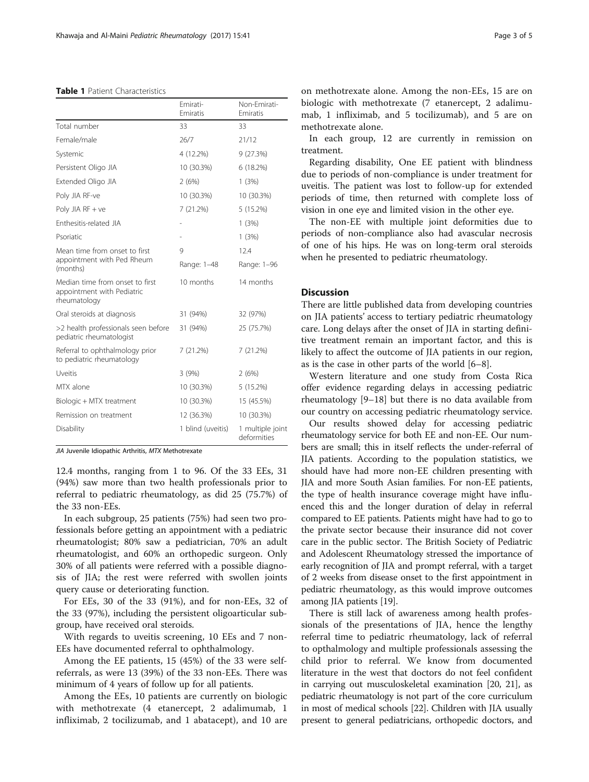#### <span id="page-2-0"></span>Table 1 Patient Characteristics

|                                                                               | Emirati-<br>Emiratis | Non-Emirati-<br>Emiratis        |
|-------------------------------------------------------------------------------|----------------------|---------------------------------|
| Total number                                                                  | 33                   | 33                              |
| Female/male                                                                   | 26/7                 | 21/12                           |
| Systemic                                                                      | 4 (12.2%)            | 9(27.3%)                        |
| Persistent Oligo JIA                                                          | 10 (30.3%)           | 6 (18.2%)                       |
| Extended Oligo JIA                                                            | 2(6%)                | 1(3%)                           |
| Poly JIA RF-ve                                                                | 10 (30.3%)           | 10 (30.3%)                      |
| Poly JIA $RF + ve$                                                            | 7 (21.2%)            | 5 (15.2%)                       |
| <b>Enthesitis-related JIA</b>                                                 |                      | 1(3%)                           |
| Psoriatic                                                                     |                      | 1(3%)                           |
| Mean time from onset to first<br>appointment with Ped Rheum<br>(months)       | 9                    | 12.4                            |
|                                                                               | Range: 1-48          | Range: 1-96                     |
| Median time from onset to first<br>appointment with Pediatric<br>rheumatology | 10 months            | 14 months                       |
| Oral steroids at diagnosis                                                    | 31 (94%)             | 32 (97%)                        |
| >2 health professionals seen before<br>pediatric rheumatologist               | 31 (94%)             | 25 (75.7%)                      |
| Referral to ophthalmology prior<br>to pediatric rheumatology                  | 7(21.2%)             | 7(21.2%)                        |
| Uveitis                                                                       | 3(9%)                | 2(6%)                           |
| MTX alone                                                                     | 10 (30.3%)           | 5(15.2%)                        |
| Biologic + MTX treatment                                                      | 10 (30.3%)           | 15 (45.5%)                      |
| Remission on treatment                                                        | 12 (36.3%)           | 10 (30.3%)                      |
| Disability                                                                    | 1 blind (uveitis)    | 1 multiple joint<br>deformities |

JIA Juvenile Idiopathic Arthritis, MTX Methotrexate

12.4 months, ranging from 1 to 96. Of the 33 EEs, 31 (94%) saw more than two health professionals prior to referral to pediatric rheumatology, as did 25 (75.7%) of the 33 non-EEs.

In each subgroup, 25 patients (75%) had seen two professionals before getting an appointment with a pediatric rheumatologist; 80% saw a pediatrician, 70% an adult rheumatologist, and 60% an orthopedic surgeon. Only 30% of all patients were referred with a possible diagnosis of JIA; the rest were referred with swollen joints query cause or deteriorating function.

For EEs, 30 of the 33 (91%), and for non-EEs, 32 of the 33 (97%), including the persistent oligoarticular subgroup, have received oral steroids.

With regards to uveitis screening, 10 EEs and 7 non-EEs have documented referral to ophthalmology.

Among the EE patients, 15 (45%) of the 33 were selfreferrals, as were 13 (39%) of the 33 non-EEs. There was minimum of 4 years of follow up for all patients.

Among the EEs, 10 patients are currently on biologic with methotrexate (4 etanercept, 2 adalimumab, 1 infliximab, 2 tocilizumab, and 1 abatacept), and 10 are on methotrexate alone. Among the non-EEs, 15 are on biologic with methotrexate (7 etanercept, 2 adalimumab, 1 infliximab, and 5 tocilizumab), and 5 are on methotrexate alone.

In each group, 12 are currently in remission on treatment.

Regarding disability, One EE patient with blindness due to periods of non-compliance is under treatment for uveitis. The patient was lost to follow-up for extended periods of time, then returned with complete loss of vision in one eye and limited vision in the other eye.

The non-EE with multiple joint deformities due to periods of non-compliance also had avascular necrosis of one of his hips. He was on long-term oral steroids when he presented to pediatric rheumatology.

#### **Discussion**

There are little published data from developing countries on JIA patients' access to tertiary pediatric rheumatology care. Long delays after the onset of JIA in starting definitive treatment remain an important factor, and this is likely to affect the outcome of JIA patients in our region, as is the case in other parts of the world [\[6](#page-4-0)–[8](#page-4-0)].

Western literature and one study from Costa Rica offer evidence regarding delays in accessing pediatric rheumatology [[9](#page-4-0)–[18](#page-4-0)] but there is no data available from our country on accessing pediatric rheumatology service.

Our results showed delay for accessing pediatric rheumatology service for both EE and non-EE. Our numbers are small; this in itself reflects the under-referral of JIA patients. According to the population statistics, we should have had more non-EE children presenting with JIA and more South Asian families. For non-EE patients, the type of health insurance coverage might have influenced this and the longer duration of delay in referral compared to EE patients. Patients might have had to go to the private sector because their insurance did not cover care in the public sector. The British Society of Pediatric and Adolescent Rheumatology stressed the importance of early recognition of JIA and prompt referral, with a target of 2 weeks from disease onset to the first appointment in pediatric rheumatology, as this would improve outcomes among JIA patients [[19](#page-4-0)].

There is still lack of awareness among health professionals of the presentations of JIA, hence the lengthy referral time to pediatric rheumatology, lack of referral to opthalmology and multiple professionals assessing the child prior to referral. We know from documented literature in the west that doctors do not feel confident in carrying out musculoskeletal examination [\[20](#page-4-0), [21](#page-4-0)], as pediatric rheumatology is not part of the core curriculum in most of medical schools [[22](#page-4-0)]. Children with JIA usually present to general pediatricians, orthopedic doctors, and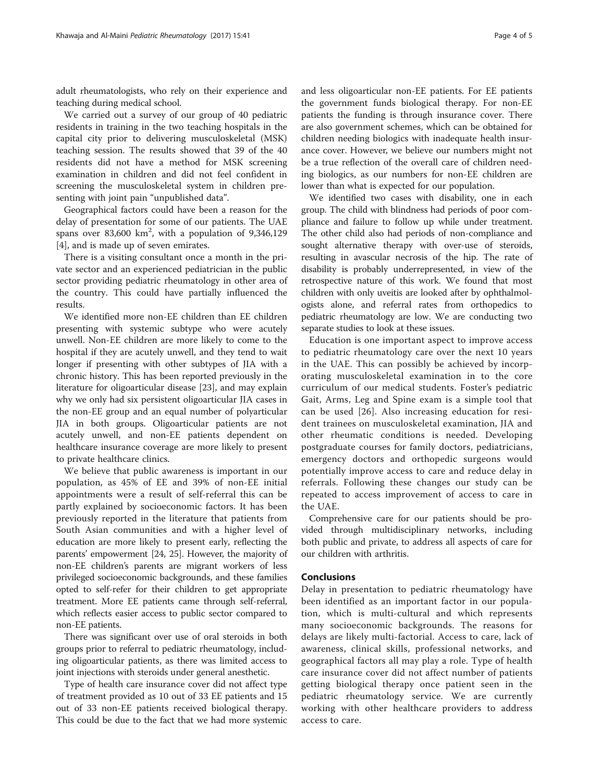adult rheumatologists, who rely on their experience and teaching during medical school.

We carried out a survey of our group of 40 pediatric residents in training in the two teaching hospitals in the capital city prior to delivering musculoskeletal (MSK) teaching session. The results showed that 39 of the 40 residents did not have a method for MSK screening examination in children and did not feel confident in screening the musculoskeletal system in children presenting with joint pain "unpublished data".

Geographical factors could have been a reason for the delay of presentation for some of our patients. The UAE spans over  $83,600 \text{ km}^2$ , with a population of  $9,346,129$ [[4\]](#page-4-0), and is made up of seven emirates.

There is a visiting consultant once a month in the private sector and an experienced pediatrician in the public sector providing pediatric rheumatology in other area of the country. This could have partially influenced the results.

We identified more non-EE children than EE children presenting with systemic subtype who were acutely unwell. Non-EE children are more likely to come to the hospital if they are acutely unwell, and they tend to wait longer if presenting with other subtypes of JIA with a chronic history. This has been reported previously in the literature for oligoarticular disease [\[23](#page-4-0)], and may explain why we only had six persistent oligoarticular JIA cases in the non-EE group and an equal number of polyarticular JIA in both groups. Oligoarticular patients are not acutely unwell, and non-EE patients dependent on healthcare insurance coverage are more likely to present to private healthcare clinics.

We believe that public awareness is important in our population, as 45% of EE and 39% of non-EE initial appointments were a result of self-referral this can be partly explained by socioeconomic factors. It has been previously reported in the literature that patients from South Asian communities and with a higher level of education are more likely to present early, reflecting the parents' empowerment [\[24, 25\]](#page-4-0). However, the majority of non-EE children's parents are migrant workers of less privileged socioeconomic backgrounds, and these families opted to self-refer for their children to get appropriate treatment. More EE patients came through self-referral, which reflects easier access to public sector compared to non-EE patients.

There was significant over use of oral steroids in both groups prior to referral to pediatric rheumatology, including oligoarticular patients, as there was limited access to joint injections with steroids under general anesthetic.

Type of health care insurance cover did not affect type of treatment provided as 10 out of 33 EE patients and 15 out of 33 non-EE patients received biological therapy. This could be due to the fact that we had more systemic and less oligoarticular non-EE patients. For EE patients the government funds biological therapy. For non-EE patients the funding is through insurance cover. There are also government schemes, which can be obtained for children needing biologics with inadequate health insurance cover. However, we believe our numbers might not be a true reflection of the overall care of children needing biologics, as our numbers for non-EE children are lower than what is expected for our population.

We identified two cases with disability, one in each group. The child with blindness had periods of poor compliance and failure to follow up while under treatment. The other child also had periods of non-compliance and sought alternative therapy with over-use of steroids, resulting in avascular necrosis of the hip. The rate of disability is probably underrepresented, in view of the retrospective nature of this work. We found that most children with only uveitis are looked after by ophthalmologists alone, and referral rates from orthopedics to pediatric rheumatology are low. We are conducting two separate studies to look at these issues.

Education is one important aspect to improve access to pediatric rheumatology care over the next 10 years in the UAE. This can possibly be achieved by incorporating musculoskeletal examination in to the core curriculum of our medical students. Foster's pediatric Gait, Arms, Leg and Spine exam is a simple tool that can be used [\[26\]](#page-4-0). Also increasing education for resident trainees on musculoskeletal examination, JIA and other rheumatic conditions is needed. Developing postgraduate courses for family doctors, pediatricians, emergency doctors and orthopedic surgeons would potentially improve access to care and reduce delay in referrals. Following these changes our study can be repeated to access improvement of access to care in the UAE.

Comprehensive care for our patients should be provided through multidisciplinary networks, including both public and private, to address all aspects of care for our children with arthritis.

#### Conclusions

Delay in presentation to pediatric rheumatology have been identified as an important factor in our population, which is multi-cultural and which represents many socioeconomic backgrounds. The reasons for delays are likely multi-factorial. Access to care, lack of awareness, clinical skills, professional networks, and geographical factors all may play a role. Type of health care insurance cover did not affect number of patients getting biological therapy once patient seen in the pediatric rheumatology service. We are currently working with other healthcare providers to address access to care.